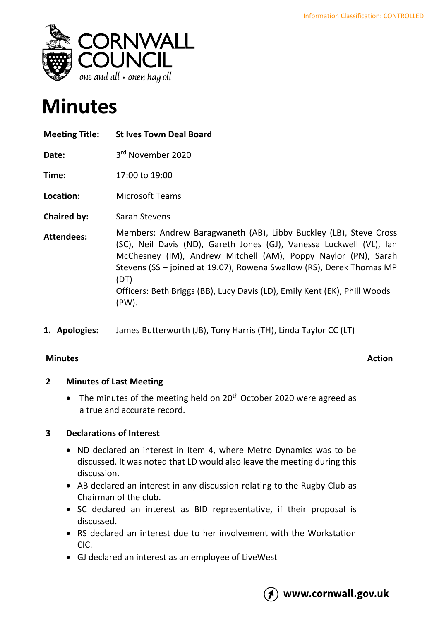

# **Minutes**

| <b>Meeting Title:</b> | <b>St Ives Town Deal Board</b>                                                                                                                                                                                                                                                                                                                                                    |
|-----------------------|-----------------------------------------------------------------------------------------------------------------------------------------------------------------------------------------------------------------------------------------------------------------------------------------------------------------------------------------------------------------------------------|
| Date:                 | 3rd November 2020                                                                                                                                                                                                                                                                                                                                                                 |
| Time:                 | 17:00 to 19:00                                                                                                                                                                                                                                                                                                                                                                    |
| Location:             | <b>Microsoft Teams</b>                                                                                                                                                                                                                                                                                                                                                            |
| <b>Chaired by:</b>    | Sarah Stevens                                                                                                                                                                                                                                                                                                                                                                     |
| <b>Attendees:</b>     | Members: Andrew Baragwaneth (AB), Libby Buckley (LB), Steve Cross<br>(SC), Neil Davis (ND), Gareth Jones (GJ), Vanessa Luckwell (VL), Ian<br>McChesney (IM), Andrew Mitchell (AM), Poppy Naylor (PN), Sarah<br>Stevens (SS - joined at 19.07), Rowena Swallow (RS), Derek Thomas MP<br>(DT)<br>Officers: Beth Briggs (BB), Lucy Davis (LD), Emily Kent (EK), Phill Woods<br>(PW). |

**1. Apologies:** James Butterworth (JB), Tony Harris (TH), Linda Taylor CC (LT)

# **Minutes Action**

# **2 Minutes of Last Meeting**

• The minutes of the meeting held on 20<sup>th</sup> October 2020 were agreed as a true and accurate record.

# **3 Declarations of Interest**

- ND declared an interest in Item 4, where Metro Dynamics was to be discussed. It was noted that LD would also leave the meeting during this discussion.
- AB declared an interest in any discussion relating to the Rugby Club as Chairman of the club.
- SC declared an interest as BID representative, if their proposal is discussed.
- RS declared an interest due to her involvement with the Workstation CIC.
- GJ declared an interest as an employee of LiveWest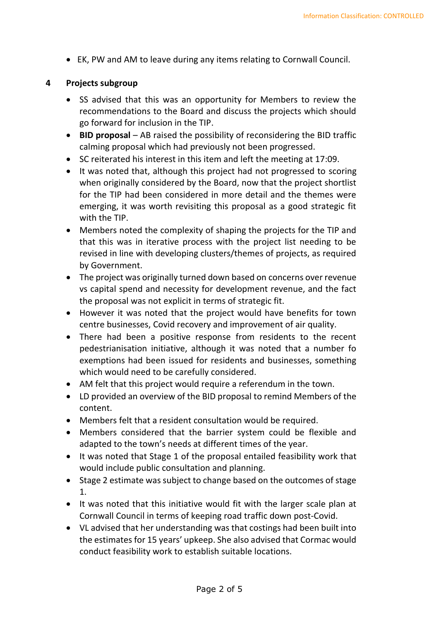• EK, PW and AM to leave during any items relating to Cornwall Council.

### **4 Projects subgroup**

- SS advised that this was an opportunity for Members to review the recommendations to the Board and discuss the projects which should go forward for inclusion in the TIP.
- **BID proposal** AB raised the possibility of reconsidering the BID traffic calming proposal which had previously not been progressed.
- SC reiterated his interest in this item and left the meeting at 17:09.
- It was noted that, although this project had not progressed to scoring when originally considered by the Board, now that the project shortlist for the TIP had been considered in more detail and the themes were emerging, it was worth revisiting this proposal as a good strategic fit with the TIP.
- Members noted the complexity of shaping the projects for the TIP and that this was in iterative process with the project list needing to be revised in line with developing clusters/themes of projects, as required by Government.
- The project was originally turned down based on concerns over revenue vs capital spend and necessity for development revenue, and the fact the proposal was not explicit in terms of strategic fit.
- However it was noted that the project would have benefits for town centre businesses, Covid recovery and improvement of air quality.
- There had been a positive response from residents to the recent pedestrianisation initiative, although it was noted that a number fo exemptions had been issued for residents and businesses, something which would need to be carefully considered.
- AM felt that this project would require a referendum in the town.
- LD provided an overview of the BID proposal to remind Members of the content.
- Members felt that a resident consultation would be required.
- Members considered that the barrier system could be flexible and adapted to the town's needs at different times of the year.
- It was noted that Stage 1 of the proposal entailed feasibility work that would include public consultation and planning.
- Stage 2 estimate was subject to change based on the outcomes of stage 1.
- It was noted that this initiative would fit with the larger scale plan at Cornwall Council in terms of keeping road traffic down post-Covid.
- VL advised that her understanding was that costings had been built into the estimates for 15 years' upkeep. She also advised that Cormac would conduct feasibility work to establish suitable locations.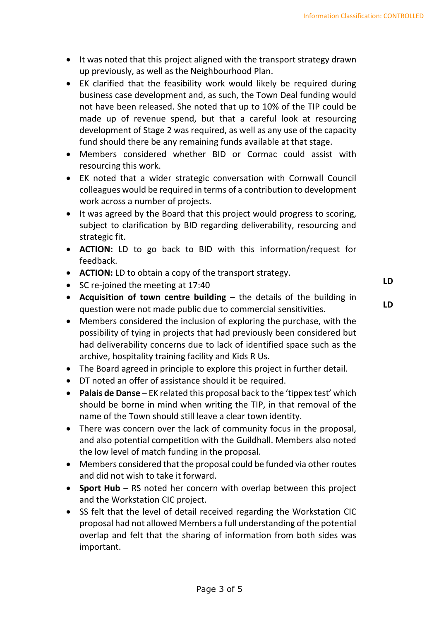- It was noted that this project aligned with the transport strategy drawn up previously, as well as the Neighbourhood Plan.
- EK clarified that the feasibility work would likely be required during business case development and, as such, the Town Deal funding would not have been released. She noted that up to 10% of the TIP could be made up of revenue spend, but that a careful look at resourcing development of Stage 2 was required, as well as any use of the capacity fund should there be any remaining funds available at that stage.
- Members considered whether BID or Cormac could assist with resourcing this work.
- EK noted that a wider strategic conversation with Cornwall Council colleagues would be required in terms of a contribution to development work across a number of projects.
- It was agreed by the Board that this project would progress to scoring, subject to clarification by BID regarding deliverability, resourcing and strategic fit.
- **ACTION:** LD to go back to BID with this information/request for feedback.
- **ACTION:** LD to obtain a copy of the transport strategy.
- SC re-joined the meeting at 17:40
- **Acquisition of town centre building** the details of the building in question were not made public due to commercial sensitivities.
- Members considered the inclusion of exploring the purchase, with the possibility of tying in projects that had previously been considered but had deliverability concerns due to lack of identified space such as the archive, hospitality training facility and Kids R Us.
- The Board agreed in principle to explore this project in further detail.
- DT noted an offer of assistance should it be required.
- **Palais de Danse** EK related this proposal back to the 'tippex test' which should be borne in mind when writing the TIP, in that removal of the name of the Town should still leave a clear town identity.
- There was concern over the lack of community focus in the proposal, and also potential competition with the Guildhall. Members also noted the low level of match funding in the proposal.
- Members considered that the proposal could be funded via other routes and did not wish to take it forward.
- **Sport Hub** RS noted her concern with overlap between this project and the Workstation CIC project.
- SS felt that the level of detail received regarding the Workstation CIC proposal had not allowed Members a full understanding of the potential overlap and felt that the sharing of information from both sides was important.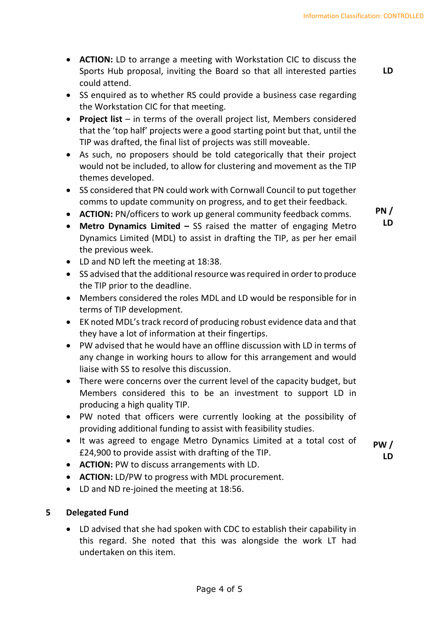- **ACTION:** LD to arrange a meeting with Workstation CIC to discuss the Sports Hub proposal, inviting the Board so that all interested parties could attend.
- SS enquired as to whether RS could provide a business case regarding the Workstation CIC for that meeting.
- **Project list** in terms of the overall project list, Members considered that the 'top half' projects were a good starting point but that, until the TIP was drafted, the final list of projects was still moveable.
- As such, no proposers should be told categorically that their project would not be included, to allow for clustering and movement as the TIP themes developed.
- SS considered that PN could work with Cornwall Council to put together comms to update community on progress, and to get their feedback.
- **ACTION:** PN/officers to work up general community feedback comms.
- **Metro Dynamics Limited –** SS raised the matter of engaging Metro Dynamics Limited (MDL) to assist in drafting the TIP, as per her email the previous week.
- LD and ND left the meeting at 18:38.
- SS advised that the additional resource was required in order to produce the TIP prior to the deadline.
- Members considered the roles MDL and LD would be responsible for in terms of TIP development.
- EK noted MDL's track record of producing robust evidence data and that they have a lot of information at their fingertips.
- PW advised that he would have an offline discussion with LD in terms of any change in working hours to allow for this arrangement and would liaise with SS to resolve this discussion.
- There were concerns over the current level of the capacity budget, but Members considered this to be an investment to support LD in producing a high quality TIP.
- PW noted that officers were currently looking at the possibility of providing additional funding to assist with feasibility studies.
- It was agreed to engage Metro Dynamics Limited at a total cost of £24,900 to provide assist with drafting of the TIP.
- **PW / LD**
- **ACTION:** PW to discuss arrangements with LD.
- **ACTION:** LD/PW to progress with MDL procurement.
- LD and ND re-joined the meeting at 18:56.

# **5 Delegated Fund**

• LD advised that she had spoken with CDC to establish their capability in this regard. She noted that this was alongside the work LT had undertaken on this item.

**PN / LD**

Page 4 of 5